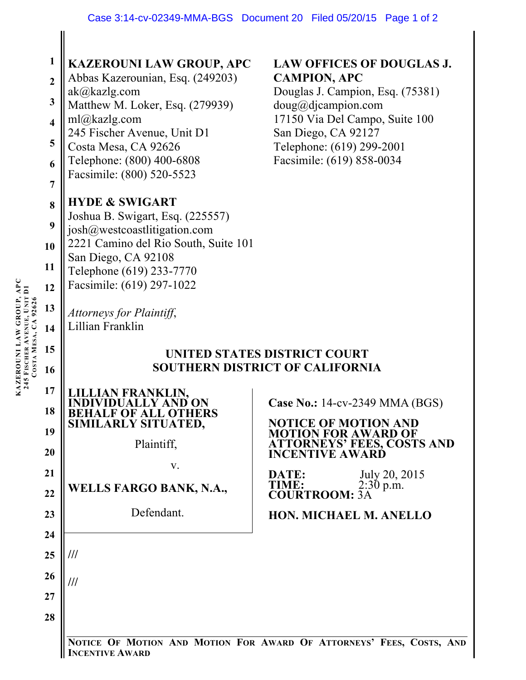| APC<br>Ξ<br>KAZEROUNI LAW GROUP,<br>245 FISCHER AVENUE, UNIT<br>CA92626<br>COSTA MESA, | 1<br>$\overline{2}$<br>$\mathbf{3}$<br>$\overline{\mathbf{4}}$<br>5<br>6<br>$\overline{7}$<br>8<br>9<br>10<br>11<br>12<br>13<br>14<br>15<br>16<br>17 | <b>KAZEROUNI LAW GROUP, APC</b><br>Abbas Kazerounian, Esq. (249203)<br>ak@kazlg.com<br>Matthew M. Loker, Esq. (279939)<br>ml@kazlg.com<br>245 Fischer Avenue, Unit D1<br>Costa Mesa, CA 92626<br>Telephone: (800) 400-6808<br>Facsimile: (800) 520-5523<br><b>HYDE &amp; SWIGART</b><br>Joshua B. Swigart, Esq. (225557)<br>josh@westcoastlitigation.com<br>2221 Camino del Rio South, Suite 101<br>San Diego, CA 92108<br>Telephone (619) 233-7770<br>Facsimile: (619) 297-1022<br>Attorneys for Plaintiff,<br>Lillian Franklin<br><b>FRANKLIN.</b><br><b>BEHALF OF ALL OTHERS</b> | <b>LAW OFFICES OF DOUGLAS J.</b><br><b>CAMPION, APC</b><br>Douglas J. Campion, Esq. (75381)<br>doug@djaampion.com<br>17150 Via Del Campo, Suite 100<br>San Diego, CA 92127<br>Telephone: (619) 299-2001<br>Facsimile: (619) 858-0034<br>UNITED STATES DISTRICT COURT<br><b>SOUTHERN DISTRICT OF CALIFORNIA</b><br>Case No.: 14-cv-2349 MMA (BGS) |
|----------------------------------------------------------------------------------------|------------------------------------------------------------------------------------------------------------------------------------------------------|-------------------------------------------------------------------------------------------------------------------------------------------------------------------------------------------------------------------------------------------------------------------------------------------------------------------------------------------------------------------------------------------------------------------------------------------------------------------------------------------------------------------------------------------------------------------------------------|--------------------------------------------------------------------------------------------------------------------------------------------------------------------------------------------------------------------------------------------------------------------------------------------------------------------------------------------------|
|                                                                                        | 18<br>19<br>20<br>21<br>22                                                                                                                           | SIMILARLY SITUATED,<br>Plaintiff,<br>V.<br>WELLS FARGO BANK, N.A.,                                                                                                                                                                                                                                                                                                                                                                                                                                                                                                                  | <b>NOTICE OF MOTION AND</b><br><b>MOTION FOR AWARD OF</b><br><b>ATTORNEYS' FEES, COSTS AND</b><br><b>INCENTIVE AWARD</b><br>July 20, 2015<br>DATE:<br>$2:30$ p.m.<br>TIME:<br><b>COURTROOM: 3A</b>                                                                                                                                               |
|                                                                                        | 23                                                                                                                                                   | Defendant.                                                                                                                                                                                                                                                                                                                                                                                                                                                                                                                                                                          | <b>HON. MICHAEL M. ANELLO</b>                                                                                                                                                                                                                                                                                                                    |
|                                                                                        | 24                                                                                                                                                   |                                                                                                                                                                                                                                                                                                                                                                                                                                                                                                                                                                                     |                                                                                                                                                                                                                                                                                                                                                  |
|                                                                                        | 25                                                                                                                                                   | ///                                                                                                                                                                                                                                                                                                                                                                                                                                                                                                                                                                                 |                                                                                                                                                                                                                                                                                                                                                  |
|                                                                                        | 26                                                                                                                                                   | ///                                                                                                                                                                                                                                                                                                                                                                                                                                                                                                                                                                                 |                                                                                                                                                                                                                                                                                                                                                  |
|                                                                                        | 27<br>28                                                                                                                                             |                                                                                                                                                                                                                                                                                                                                                                                                                                                                                                                                                                                     |                                                                                                                                                                                                                                                                                                                                                  |

**NOTICE OF MOTION AND MOTION FOR AWARD OF ATTORNEYS' FEES, COSTS, AND INCENTIVE AWARD**